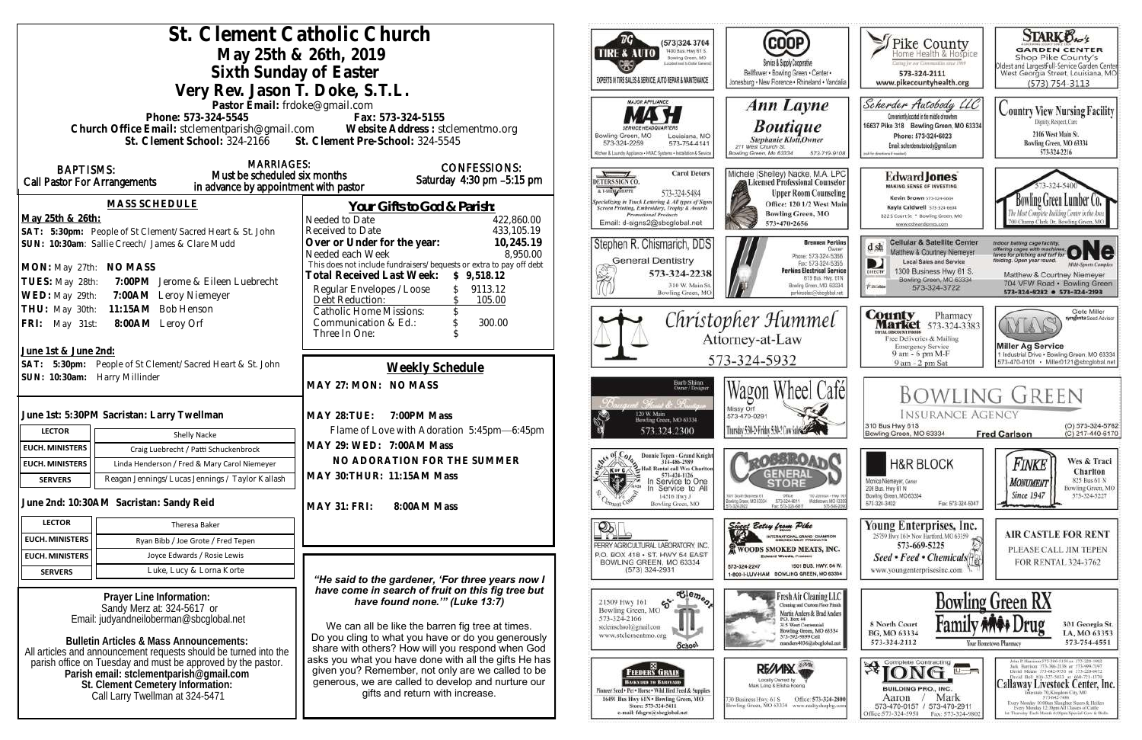| St. Clement Catholic Church<br>May 25th & 26th, 2019<br>Sixth Sunday of Easter<br>Very Rev. Jason T. Doke, S.T.L.<br>Pastor Email: frdoke@gmail.com<br>Phone: 573-324-5545<br>Fax: 573-324-5155                                                                                                                                                                                                                |                                                                                                                                                                           |                                                                                                                                                                                                                                                                                                                                                                                                                                                                                                              | ВG<br><b>TIRE &amp; AUTO</b>                                                 | (573)324 3704<br>1400 Bus. Hwy 61 S.<br>Bowling Green, MO<br>cross mail to Online General<br>EXPERTS IN TIRE SALES & SERVICE, AUTO REPAIR & MAINTENANCE<br><b>MAJOR APPLIANCE</b><br>MA H              | <b>COOP</b><br>Service & Supply Cooperative<br>Bellflower . Bowling Green . Center .<br>Jonesburg . New Florence . Rhineland . Vandalia<br>Ann Layne                                                                  | Pike County<br>aring for our Communities aren't 1969<br>573-324-2111<br>www.pikecountyhealth.org<br>Scherder Autobody LLC<br>Conveniently located in the middle of nowhere                                                                                       | <b>STARK Oxo's</b><br><b>GARDEN CENTER</b><br>Shop Pike County's<br>Oldest and Largestfull-Service Garden Center<br>West Georgia Street, Louisiana, MO<br>$(573) 754 - 3113$<br><b>Country View Nursing Facility</b>                                                                                                                                                                                                                |
|----------------------------------------------------------------------------------------------------------------------------------------------------------------------------------------------------------------------------------------------------------------------------------------------------------------------------------------------------------------------------------------------------------------|---------------------------------------------------------------------------------------------------------------------------------------------------------------------------|--------------------------------------------------------------------------------------------------------------------------------------------------------------------------------------------------------------------------------------------------------------------------------------------------------------------------------------------------------------------------------------------------------------------------------------------------------------------------------------------------------------|------------------------------------------------------------------------------|--------------------------------------------------------------------------------------------------------------------------------------------------------------------------------------------------------|-----------------------------------------------------------------------------------------------------------------------------------------------------------------------------------------------------------------------|------------------------------------------------------------------------------------------------------------------------------------------------------------------------------------------------------------------------------------------------------------------|-------------------------------------------------------------------------------------------------------------------------------------------------------------------------------------------------------------------------------------------------------------------------------------------------------------------------------------------------------------------------------------------------------------------------------------|
|                                                                                                                                                                                                                                                                                                                                                                                                                | St. Clement School: 324-2166<br><b>MARRIAGES:</b>                                                                                                                         | Church Office Email: stclementparish@gmail.com Website Address : stclementmo.org<br>St. Clement Pre-School: 324-5545                                                                                                                                                                                                                                                                                                                                                                                         | Bowling Green, MO<br>573-324-2259                                            | Louisiana, MO<br>573-754-4141<br>Kitchen & Laundry Appliance • HVAC Systems • Installation & Service                                                                                                   | <b>Boutique</b><br>Stephanie Klott, Owner<br>211 West Church St.<br>Bowling Green, Mo 63334<br>573-719-9108                                                                                                           | 16637 Pike 318 Bowling Green, MO 63334<br>Phone: 573+324+6023<br>Email: scherderautobody@gmail.com<br>call for directions if readed                                                                                                                              | Dignity, Respect, Care<br>2106 West Main St.<br>Bowling Green, MO 63334<br>573-324-2216                                                                                                                                                                                                                                                                                                                                             |
| <b>BAPTISMS:</b><br>Call Pastor For Arrangements                                                                                                                                                                                                                                                                                                                                                               | Must be scheduled six months<br>in advance by appointment with pastor<br><b>MASS SCHEDULE</b>                                                                             | <b>CONFESSIONS:</b><br>Saturday 4:30 pm -5:15 pm<br>Your Gifts to God & Parish:                                                                                                                                                                                                                                                                                                                                                                                                                              | DETERS SIGN CO.<br>A T-SHING SHOPPE                                          | <b>Carol Deters</b><br>573-324-5484<br>Specializing in Truck Lettering & All types of Signs<br>Screen Printing, Embroidery, Trophy & Awards<br><b>Promotional Products</b>                             | Michele (Shelley) Nacke, M.A. LPC<br>Licensed Professional Counselor<br><b>Upper Room Counseling</b><br>Office: 120 1/2 West Main<br><b>Bowling Green, MO</b>                                                         | <b>Edward Jones</b><br><b>MAKING SENSE OF INVESTING</b><br>Kevin Brown 573-324-6604<br>Kayla Caldwell 573-324-6604                                                                                                                                               | Bowling Green Lumber C                                                                                                                                                                                                                                                                                                                                                                                                              |
| May 25th & 26th:<br>MON: May 27th: NO MASS<br>TUES: May 28th:<br>WED: May 29th:                                                                                                                                                                                                                                                                                                                                | SAT: 5:30pm: People of St Clement/Sacred Heart & St. John<br>SUN: 10:30am: Sallie Creech/ James & Clare Mudd<br>7:00PM Jerome & Eileen Luebrecht<br>7:00AM Leroy Niemeyer | Needed to Date<br>422,860.00<br>433,105.19<br>Received to Date<br>Over or Under for the year:<br>10,245.19<br>8,950.00<br>Needed each Week<br>This does not include fundraisers/bequests or extra to pay off debt<br>Total Received Last Week:<br>9,518.12<br><sup>S</sup><br>9113.12<br>Regular Envelopes / Loose                                                                                                                                                                                           | 笑                                                                            | Email: d-signs2@sbcglobal.net<br>Stephen R. Chismarich, DDS<br><b>General Dentistry</b><br>573-324-2238<br>310 W. Main St<br>Bowling Green, MC                                                         | 573-470-2656<br><b>Brennen Perkins</b><br><b>Owner</b><br>Phone: 573-324-5366<br>Fax: 573-324-5355<br><b>Perkins Electrical Service</b><br>B19 Bus. Hwy. 61N<br>Bowling Green, MO. 63334<br>perkinselec@shoglobal.net | 822 S Court St * Bowling Green, MO<br>www.edwardjones.com<br><b>Cellular &amp; Satellite Center</b><br>$d$ sh<br>Matthew & Courtney Niemeyer<br><b>Local Sales and Service</b><br>1300 Business Hwy 61 S.<br>Bowling Green, MO 63334<br>Fiatable<br>573-324-3722 | 700 Champ Clark Dr. Bowling Green, M.<br>hdoor batting cage facility,<br><b>CONCERT ON BUSICIES</b><br>leiding. Open year round.<br><b>Milli-Sparts Complex</b><br>Matthew & Courtney Niemeyer<br>704 VFW Road · Bowling Green<br>573-324-8282 0 573-324-2193                                                                                                                                                                       |
| 11:15AM Bob Henson<br>THU: May 30th:<br>8:00AM Leroy Orf<br>FRI: May 31st:                                                                                                                                                                                                                                                                                                                                     |                                                                                                                                                                           | Debt Reduction:<br>105.00<br><b>Catholic Home Missions:</b><br>300.00<br>Communication & Ed.:<br>Three In One:                                                                                                                                                                                                                                                                                                                                                                                               |                                                                              | Christopher Hummel<br>Attorney-at-Law                                                                                                                                                                  |                                                                                                                                                                                                                       | <b>County</b><br>Pharmacy<br><b>Market</b> 573-324-3383<br><b>ITAL BISCOUNT FOOD</b><br>Free Deliveries & Mailing<br><b>Emergency Service</b>                                                                                                                    | Clete Miller<br>syngents Sood Adviso<br><b>Miller Ag Service</b>                                                                                                                                                                                                                                                                                                                                                                    |
| June 1st & June 2nd<br>SAT: 5:30pm: People of St Clement/Sacred Heart & St. John<br>SUN: 10:30am: Harry Millinder                                                                                                                                                                                                                                                                                              |                                                                                                                                                                           | Weekly Schedule<br>MAY 27: MON: NO MASS                                                                                                                                                                                                                                                                                                                                                                                                                                                                      |                                                                              | 573-324-5932<br>Barb Shinn<br>Owner/Designer<br>Wagon Wheel Café                                                                                                                                       |                                                                                                                                                                                                                       | 9 am - 6 pm M-F<br>1 Industrial Drive . Bowling Green, MO 63334<br>573-470-0101 Miller0121@sbcglobal.net<br>9 am - 2 pm Sat<br><b>BOWLING GREEN</b>                                                                                                              |                                                                                                                                                                                                                                                                                                                                                                                                                                     |
| June 1st: 5:30PM Sacristan: Larry Twellman<br><b>LECTOR</b><br><b>Shelly Nacke</b>                                                                                                                                                                                                                                                                                                                             |                                                                                                                                                                           | 7:00PM Mass<br>MAY 28: TUE:<br>Flame of Love with Adoration 5:45pm-6:45pm                                                                                                                                                                                                                                                                                                                                                                                                                                    |                                                                              | 120 W. Main<br>Bowling Green, MO 63334<br>573.324.2300                                                                                                                                                 | Missy Orf<br>573-470-0291<br>Thursday 5:30-2: Friday 5:30-2 Cow Sales Com                                                                                                                                             | <b>INSURANCE AGENCY</b><br>310 Bus Hwy 61S<br>Bowling Green, MO 63334                                                                                                                                                                                            | (O) 573-324-5762<br>(C) 217-440-6170<br><b>Fred Carlson</b>                                                                                                                                                                                                                                                                                                                                                                         |
| <b>EUCH. MINISTERS</b>                                                                                                                                                                                                                                                                                                                                                                                         | Craig Luebrecht / Patti Schuckenbrock                                                                                                                                     | MAY 29: WED: 7:00AM Mass                                                                                                                                                                                                                                                                                                                                                                                                                                                                                     |                                                                              |                                                                                                                                                                                                        |                                                                                                                                                                                                                       |                                                                                                                                                                                                                                                                  |                                                                                                                                                                                                                                                                                                                                                                                                                                     |
| <b>EUCH. MINISTERS</b>                                                                                                                                                                                                                                                                                                                                                                                         | Linda Henderson / Fred & Mary Carol Niemeyer                                                                                                                              | NO ADORATION FOR THE SUMMER                                                                                                                                                                                                                                                                                                                                                                                                                                                                                  |                                                                              | Donnie Tepen - Grand Knight<br>314-486-2989<br>Hall Rental call Wes Charlton                                                                                                                           | <b><i>BSROAT</i></b>                                                                                                                                                                                                  | <b>H&amp;R BLOCK</b>                                                                                                                                                                                                                                             | Wes & Traci<br>Finke                                                                                                                                                                                                                                                                                                                                                                                                                |
| <b>SERVERS</b>                                                                                                                                                                                                                                                                                                                                                                                                 | Reagan Jennings/Lucas Jennings / Taylor Kallash                                                                                                                           | MAY 30: THUR: 11:15AM Mass                                                                                                                                                                                                                                                                                                                                                                                                                                                                                   | <b>X</b> or C<br><b>K</b>                                                    | 573-424-1126<br>In Service to One                                                                                                                                                                      | <b>GENERAL</b>                                                                                                                                                                                                        | Monica Niemeyer, Owner                                                                                                                                                                                                                                           | Charlton<br>825 Bus 61 N<br>MONUMENT                                                                                                                                                                                                                                                                                                                                                                                                |
| June 2nd: 10:30AM Sacristan: Sandy Reid                                                                                                                                                                                                                                                                                                                                                                        |                                                                                                                                                                           | MAY 31: FRI:<br>8:00AM Mass                                                                                                                                                                                                                                                                                                                                                                                                                                                                                  |                                                                              | Service to All<br>14516 Hwy J<br>Bowling Green, MO                                                                                                                                                     | 1001 South Business 61<br>Office<br>110 Johnson - Hwy 50<br>573-324-6811<br>Middietown, MO 6339<br>Bowling Grasn, MD 63304<br>Fax: 573-324-6811<br>573-549-20                                                         | 206 Bus. Hwy 61 N<br>Bowling Green, MO 63334<br>573-324-3402<br>Fax: 573-324-5047                                                                                                                                                                                | Bowling Green, MO<br><b>Since 1947</b><br>573-324-5227                                                                                                                                                                                                                                                                                                                                                                              |
| <b>LECTOR</b>                                                                                                                                                                                                                                                                                                                                                                                                  | Theresa Baker                                                                                                                                                             |                                                                                                                                                                                                                                                                                                                                                                                                                                                                                                              | $\mathcal{D}_\mathbb{R}$                                                     |                                                                                                                                                                                                        | Since Ectoy from Pike                                                                                                                                                                                                 | Young Enterprises, Inc.                                                                                                                                                                                                                                          |                                                                                                                                                                                                                                                                                                                                                                                                                                     |
| <b>EUCH. MINISTERS</b>                                                                                                                                                                                                                                                                                                                                                                                         | Ryan Bibb / Joe Grote / Fred Tepen                                                                                                                                        |                                                                                                                                                                                                                                                                                                                                                                                                                                                                                                              |                                                                              | PERRY AGRICULTURAL LABORATORY, INC.                                                                                                                                                                    | INTERNATIONAL GRAND CHAMFION                                                                                                                                                                                          | 25759 Hwy 161 . New Hartford, MO 63359<br>573-669-5225                                                                                                                                                                                                           | <b>AIR CASTLE FOR RENT</b>                                                                                                                                                                                                                                                                                                                                                                                                          |
| <b>EUCH. MINISTERS</b>                                                                                                                                                                                                                                                                                                                                                                                         | Joyce Edwards / Rosie Lewis                                                                                                                                               |                                                                                                                                                                                                                                                                                                                                                                                                                                                                                                              |                                                                              | P.O. BOX 418 . ST. HWY 54 EAST<br>BOWLING GREEN, MO 63334                                                                                                                                              | WOODS SMOKED MEATS, INC.<br><b>Edward Woods, President</b>                                                                                                                                                            | Seed • Feed • Chemicals <sup>[4]</sup>                                                                                                                                                                                                                           | PLEASE CALL JIM TEPEN<br>FOR RENTAL 324-3762                                                                                                                                                                                                                                                                                                                                                                                        |
| <b>SERVERS</b>                                                                                                                                                                                                                                                                                                                                                                                                 | Luke, Lucy & Lorna Korte                                                                                                                                                  |                                                                                                                                                                                                                                                                                                                                                                                                                                                                                                              |                                                                              | (573) 324-2931                                                                                                                                                                                         | 1501 BUS, HWY, 54 W.<br>573-324-2247<br>1-800-I-LUV-HAM BOWLING GREEN, MO 63334                                                                                                                                       | www.youngenterprisesinc.com                                                                                                                                                                                                                                      |                                                                                                                                                                                                                                                                                                                                                                                                                                     |
| Prayer Line Information:<br>Sandy Merz at: 324-5617 or<br>Email: judyandneiloberman@sbcglobal.net<br><b>Bulletin Articles &amp; Mass Announcements:</b><br>All articles and announcement requests should be turned into the<br>parish office on Tuesday and must be approved by the pastor.<br>Parish email: stclementparish@gmail.com<br>St. Clement Cemetery Information:<br>Call Larry Twellman at 324-5471 |                                                                                                                                                                           | "He said to the gardener, 'For three years now I<br>have come in search of fruit on this fig tree but<br>have found none."" (Luke 13:7)<br>We can all be like the barren fig tree at times.<br>Do you cling to what you have or do you generously<br>share with others? How will you respond when God<br>asks you what you have done with all the gifts He has<br>given you? Remember, not only are we called to be<br>generous, we are called to develop and nurture our<br>gifts and return with increase. | 21509 Hwy 161<br>Bowling Green, MO<br>573-324-2166<br>stelemschool@gmail.com | $\overline{\text{e}^{\text{le}}_{\text{e}}\text{e}_{\text{e}}}$<br>$\mathfrak{S}$<br>www.stclementmo.org<br><b>School</b>                                                                              | Fresh Air Cleaning LLC<br>Cleaning and Custom Floor Finish<br>Martin Anders & Brad Anders<br>P.O. Box 44<br>315 West Centennial<br>Bowling Green, MO 63334<br>573-592-9899 Cell<br>nanders4036@sbcglobal.ne           | 8 North Court<br>BG, MO 63334<br>573-324-2112                                                                                                                                                                                                                    | <b>Bowling Green RX</b><br>ramily <b>AW++</b> Drug<br>301 Georgia St.<br>LA, MO 63353<br>573-754-4551<br>Your Hometown Pharmacy                                                                                                                                                                                                                                                                                                     |
|                                                                                                                                                                                                                                                                                                                                                                                                                |                                                                                                                                                                           |                                                                                                                                                                                                                                                                                                                                                                                                                                                                                                              |                                                                              | FEEDERS GRAIN<br><b>BACKYARD TO BARNVARD</b><br>Finneer Seed + Pet . Horse . Wild Bird Feed & Supplies<br>16491 Bus Hwy 61N . Bowling Green, MO<br>Store: 573-324-5411<br>e-mail: fdsgrn@sbcglobal.net | RE/MIX<br>Locally Owned by<br>Mark Long & Elisha Koenig<br>30 Business Hwy. 61 S Office: 573-324-2800<br>Bowling Green, MO 63334 www.realtyshopbg.com                                                                 | *iONG<br>$u -$<br><b>BUILDING PRO., INC.</b><br>Mark<br>Aaron<br>573-470-0157 / 573-470-2911<br>Office: 573-324-5958   Fax: 573-324-980                                                                                                                          | kthn P. Harrison 573-386-5150 or 573-220-1482<br>Jack Hurrison 573-386-2138 or 573-999-7197<br>David Means 573-642-9753 or 573-220-0472<br>David Bell 810-527-5633 or 660-721-1370<br>Callaway Livestock Center, Inc.<br>terstate 70, Kingdoni City, MO-<br>573-642-748n<br>Every Monitay 10:00am Slaughter Steers & Heifers<br>Every Meralay 12:30pps All Classes of Cattle<br>1st Thursday Each Month 6:00pm Special Cow & Bulls. |